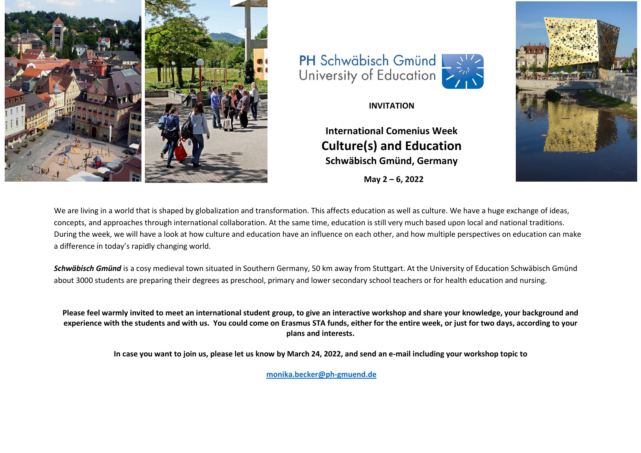





**International Comenius Week Culture(s) and Education Schwäbisch Gmünd, Germany**

 **May 2 – 6, 2022**



We are living in a world that is shaped by globalization and transformation. This affects education as well as culture. We have a huge exchange of ideas, concepts, and approaches through international collaboration. At the same time, education is still very much based upon local and national traditions. During the week, we will have a look at how culture and education have an influence on each other, and how multiple perspectives on education can make a difference in today's rapidly changing world.

*Schwäbisch Gmünd* is a cosy medieval town situated in Southern Germany, 50 km away from Stuttgart. At the University of Education Schwäbisch Gmünd about 3000 students are preparing their degrees as preschool, primary and lower secondary school teachers or for health education and nursing.

**Please feel warmly invited to meet an international student group, to give an interactive workshop and share your knowledge, your background and experience with the students and with us. You could come on Erasmus STA funds, either for the entire week, or just for two days, according to your plans and interests.**

**In case you want to join us, please let us know by March 24, 2022, and send an e-mail including your workshop topic to**

**[monika.becker@ph-gmuend.de](mailto:monika.becker@ph-gmuend.de)**